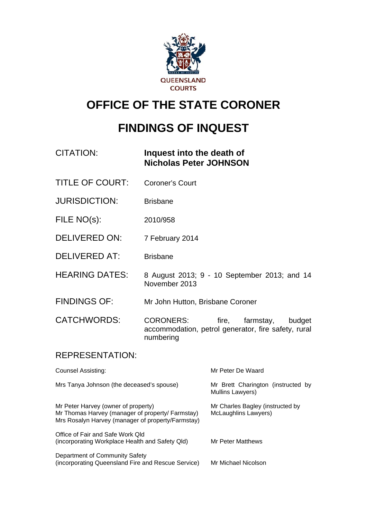

# **OFFICE OF THE STATE CORONER**

# **FINDINGS OF INQUEST**

# CITATION: **Inquest into the death of Nicholas Peter JOHNSON**

- TITLE OF COURT: Coroner's Court
- JURISDICTION: Brisbane
- FILE NO(s): 2010/958
- DELIVERED ON: 7 February 2014
- DELIVERED AT: Brisbane
- HEARING DATES: 8 August 2013; 9 10 September 2013; and 14 November 2013
- FINDINGS OF: Mr John Hutton, Brisbane Coroner

CATCHWORDS: CORONERS: fire, farmstay, budget accommodation, petrol generator, fire safety, rural numbering

## REPRESENTATION:

| Counsel Assisting:                                                                                                                           | Mr Peter De Waard                                        |
|----------------------------------------------------------------------------------------------------------------------------------------------|----------------------------------------------------------|
| Mrs Tanya Johnson (the deceased's spouse)                                                                                                    | Mr Brett Charington (instructed by<br>Mullins Lawyers)   |
| Mr Peter Harvey (owner of property)<br>Mr Thomas Harvey (manager of property/ Farmstay)<br>Mrs Rosalyn Harvey (manager of property/Farmstay) | Mr Charles Bagley (instructed by<br>McLaughlins Lawyers) |
| Office of Fair and Safe Work Old<br>(incorporating Workplace Health and Safety Qld)                                                          | Mr Peter Matthews                                        |
| Department of Community Safety<br>(incorporating Queensland Fire and Rescue Service)                                                         | Mr Michael Nicolson                                      |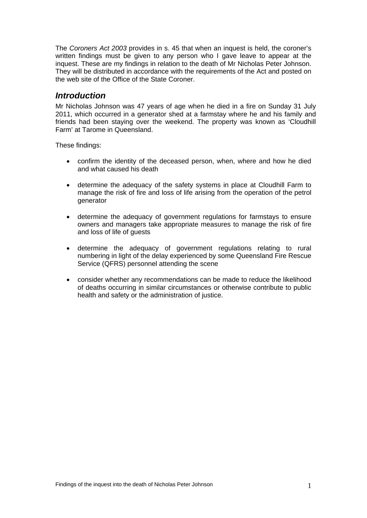The *Coroners Act 2003* provides in s. 45 that when an inquest is held, the coroner's written findings must be given to any person who I gave leave to appear at the inquest. These are my findings in relation to the death of Mr Nicholas Peter Johnson. They will be distributed in accordance with the requirements of the Act and posted on the web site of the Office of the State Coroner.

#### *Introduction*

Mr Nicholas Johnson was 47 years of age when he died in a fire on Sunday 31 July 2011, which occurred in a generator shed at a farmstay where he and his family and friends had been staying over the weekend. The property was known as 'Cloudhill Farm' at Tarome in Queensland.

These findings:

- confirm the identity of the deceased person, when, where and how he died and what caused his death
- determine the adequacy of the safety systems in place at Cloudhill Farm to manage the risk of fire and loss of life arising from the operation of the petrol generator
- determine the adequacy of government regulations for farmstays to ensure owners and managers take appropriate measures to manage the risk of fire and loss of life of guests
- determine the adequacy of government regulations relating to rural numbering in light of the delay experienced by some Queensland Fire Rescue Service (QFRS) personnel attending the scene
- consider whether any recommendations can be made to reduce the likelihood of deaths occurring in similar circumstances or otherwise contribute to public health and safety or the administration of justice.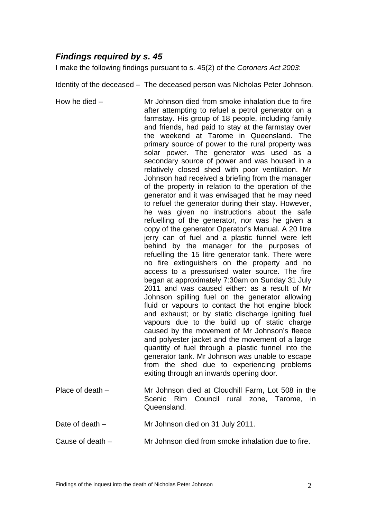# *Findings required by s. 45*

I make the following findings pursuant to s. 45(2) of the *Coroners Act 2003*:

Identity of the deceased – The deceased person was Nicholas Peter Johnson.

How he died – Mr Johnson died from smoke inhalation due to fire after attempting to refuel a petrol generator on a farmstay. His group of 18 people, including family and friends, had paid to stay at the farmstay over the weekend at Tarome in Queensland. The primary source of power to the rural property was solar power. The generator was used as a secondary source of power and was housed in a relatively closed shed with poor ventilation. Mr Johnson had received a briefing from the manager of the property in relation to the operation of the generator and it was envisaged that he may need to refuel the generator during their stay. However, he was given no instructions about the safe refuelling of the generator, nor was he given a copy of the generator Operator's Manual. A 20 litre jerry can of fuel and a plastic funnel were left behind by the manager for the purposes of refuelling the 15 litre generator tank. There were no fire extinguishers on the property and no access to a pressurised water source. The fire began at approximately 7:30am on Sunday 31 July 2011 and was caused either: as a result of Mr Johnson spilling fuel on the generator allowing fluid or vapours to contact the hot engine block and exhaust; or by static discharge igniting fuel vapours due to the build up of static charge caused by the movement of Mr Johnson's fleece and polyester jacket and the movement of a large quantity of fuel through a plastic funnel into the generator tank. Mr Johnson was unable to escape from the shed due to experiencing problems exiting through an inwards opening door. Place of death – Mr Johnson died at Cloudhill Farm, Lot 508 in the Scenic Rim Council rural zone, Tarome, in Queensland.

Date of death – Mr Johnson died on 31 July 2011.

Cause of death *–* Mr Johnson died from smoke inhalation due to fire.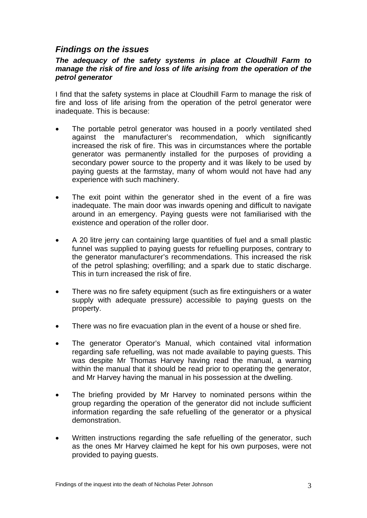## *Findings on the issues*

#### *The adequacy of the safety systems in place at Cloudhill Farm to manage the risk of fire and loss of life arising from the operation of the petrol generator*

I find that the safety systems in place at Cloudhill Farm to manage the risk of fire and loss of life arising from the operation of the petrol generator were inadequate. This is because:

- The portable petrol generator was housed in a poorly ventilated shed against the manufacturer's recommendation, which significantly increased the risk of fire. This was in circumstances where the portable generator was permanently installed for the purposes of providing a secondary power source to the property and it was likely to be used by paying guests at the farmstay, many of whom would not have had any experience with such machinery.
- The exit point within the generator shed in the event of a fire was inadequate. The main door was inwards opening and difficult to navigate around in an emergency. Paying guests were not familiarised with the existence and operation of the roller door.
- A 20 litre jerry can containing large quantities of fuel and a small plastic funnel was supplied to paying guests for refuelling purposes, contrary to the generator manufacturer's recommendations. This increased the risk of the petrol splashing; overfilling; and a spark due to static discharge. This in turn increased the risk of fire.
- There was no fire safety equipment (such as fire extinguishers or a water supply with adequate pressure) accessible to paying guests on the property.
- There was no fire evacuation plan in the event of a house or shed fire.
- The generator Operator's Manual, which contained vital information regarding safe refuelling, was not made available to paying guests. This was despite Mr Thomas Harvey having read the manual, a warning within the manual that it should be read prior to operating the generator, and Mr Harvey having the manual in his possession at the dwelling.
- The briefing provided by Mr Harvey to nominated persons within the group regarding the operation of the generator did not include sufficient information regarding the safe refuelling of the generator or a physical demonstration.
- Written instructions regarding the safe refuelling of the generator, such as the ones Mr Harvey claimed he kept for his own purposes, were not provided to paying guests.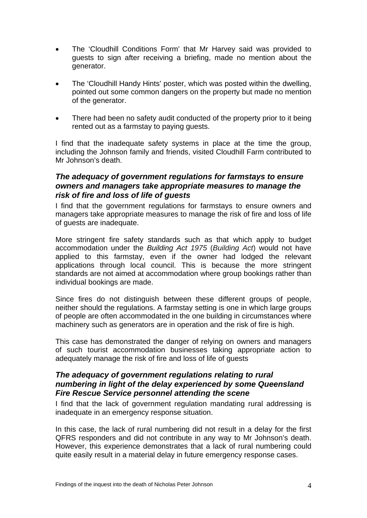- The 'Cloudhill Conditions Form' that Mr Harvey said was provided to guests to sign after receiving a briefing, made no mention about the generator.
- The 'Cloudhill Handy Hints' poster, which was posted within the dwelling, pointed out some common dangers on the property but made no mention of the generator.
- There had been no safety audit conducted of the property prior to it being rented out as a farmstay to paying guests.

I find that the inadequate safety systems in place at the time the group, including the Johnson family and friends, visited Cloudhill Farm contributed to Mr Johnson's death.

#### *The adequacy of government regulations for farmstays to ensure owners and managers take appropriate measures to manage the risk of fire and loss of life of guests*

I find that the government regulations for farmstays to ensure owners and managers take appropriate measures to manage the risk of fire and loss of life of guests are inadequate.

More stringent fire safety standards such as that which apply to budget accommodation under the *Building Act 1975* (*Building Act*) would not have applied to this farmstay, even if the owner had lodged the relevant applications through local council. This is because the more stringent standards are not aimed at accommodation where group bookings rather than individual bookings are made.

Since fires do not distinguish between these different groups of people, neither should the regulations. A farmstay setting is one in which large groups of people are often accommodated in the one building in circumstances where machinery such as generators are in operation and the risk of fire is high.

This case has demonstrated the danger of relying on owners and managers of such tourist accommodation businesses taking appropriate action to adequately manage the risk of fire and loss of life of guests

#### *The adequacy of government regulations relating to rural numbering in light of the delay experienced by some Queensland Fire Rescue Service personnel attending the scene*

I find that the lack of government regulation mandating rural addressing is inadequate in an emergency response situation.

In this case, the lack of rural numbering did not result in a delay for the first QFRS responders and did not contribute in any way to Mr Johnson's death. However, this experience demonstrates that a lack of rural numbering could quite easily result in a material delay in future emergency response cases.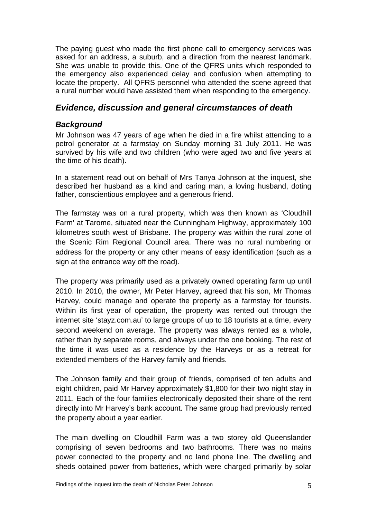The paying guest who made the first phone call to emergency services was asked for an address, a suburb, and a direction from the nearest landmark. She was unable to provide this. One of the QFRS units which responded to the emergency also experienced delay and confusion when attempting to locate the property. All QFRS personnel who attended the scene agreed that a rural number would have assisted them when responding to the emergency.

## *Evidence, discussion and general circumstances of death*

## *Background*

Mr Johnson was 47 years of age when he died in a fire whilst attending to a petrol generator at a farmstay on Sunday morning 31 July 2011. He was survived by his wife and two children (who were aged two and five years at the time of his death).

In a statement read out on behalf of Mrs Tanya Johnson at the inquest, she described her husband as a kind and caring man, a loving husband, doting father, conscientious employee and a generous friend.

The farmstay was on a rural property, which was then known as 'Cloudhill Farm' at Tarome, situated near the Cunningham Highway, approximately 100 kilometres south west of Brisbane. The property was within the rural zone of the Scenic Rim Regional Council area. There was no rural numbering or address for the property or any other means of easy identification (such as a sign at the entrance way off the road).

The property was primarily used as a privately owned operating farm up until 2010. In 2010, the owner, Mr Peter Harvey, agreed that his son, Mr Thomas Harvey, could manage and operate the property as a farmstay for tourists. Within its first year of operation, the property was rented out through the internet site 'stayz.com.au' to large groups of up to 18 tourists at a time, every second weekend on average. The property was always rented as a whole, rather than by separate rooms, and always under the one booking. The rest of the time it was used as a residence by the Harveys or as a retreat for extended members of the Harvey family and friends.

The Johnson family and their group of friends, comprised of ten adults and eight children, paid Mr Harvey approximately \$1,800 for their two night stay in 2011. Each of the four families electronically deposited their share of the rent directly into Mr Harvey's bank account. The same group had previously rented the property about a year earlier.

The main dwelling on Cloudhill Farm was a two storey old Queenslander comprising of seven bedrooms and two bathrooms. There was no mains power connected to the property and no land phone line. The dwelling and sheds obtained power from batteries, which were charged primarily by solar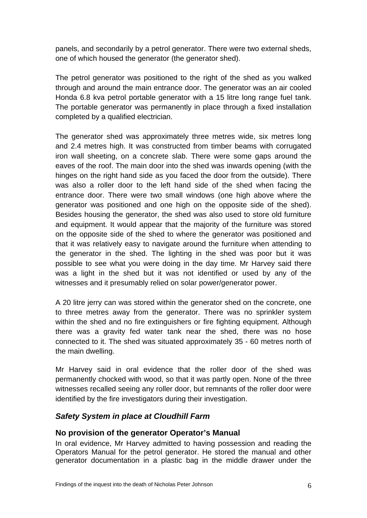panels, and secondarily by a petrol generator. There were two external sheds, one of which housed the generator (the generator shed).

The petrol generator was positioned to the right of the shed as you walked through and around the main entrance door. The generator was an air cooled Honda 6.8 kva petrol portable generator with a 15 litre long range fuel tank. The portable generator was permanently in place through a fixed installation completed by a qualified electrician.

The generator shed was approximately three metres wide, six metres long and 2.4 metres high. It was constructed from timber beams with corrugated iron wall sheeting, on a concrete slab. There were some gaps around the eaves of the roof. The main door into the shed was inwards opening (with the hinges on the right hand side as you faced the door from the outside). There was also a roller door to the left hand side of the shed when facing the entrance door. There were two small windows (one high above where the generator was positioned and one high on the opposite side of the shed). Besides housing the generator, the shed was also used to store old furniture and equipment. It would appear that the majority of the furniture was stored on the opposite side of the shed to where the generator was positioned and that it was relatively easy to navigate around the furniture when attending to the generator in the shed. The lighting in the shed was poor but it was possible to see what you were doing in the day time. Mr Harvey said there was a light in the shed but it was not identified or used by any of the witnesses and it presumably relied on solar power/generator power.

A 20 litre jerry can was stored within the generator shed on the concrete, one to three metres away from the generator. There was no sprinkler system within the shed and no fire extinguishers or fire fighting equipment. Although there was a gravity fed water tank near the shed, there was no hose connected to it. The shed was situated approximately 35 - 60 metres north of the main dwelling.

Mr Harvey said in oral evidence that the roller door of the shed was permanently chocked with wood, so that it was partly open. None of the three witnesses recalled seeing any roller door, but remnants of the roller door were identified by the fire investigators during their investigation.

#### *Safety System in place at Cloudhill Farm*

#### **No provision of the generator Operator's Manual**

In oral evidence, Mr Harvey admitted to having possession and reading the Operators Manual for the petrol generator. He stored the manual and other generator documentation in a plastic bag in the middle drawer under the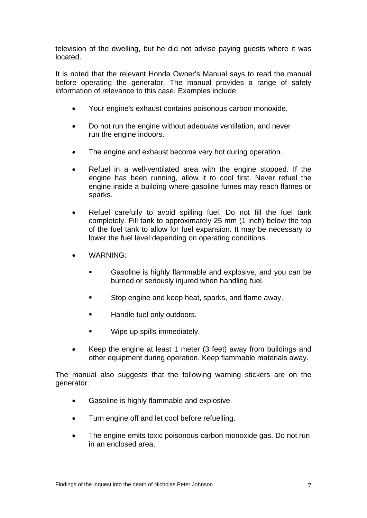television of the dwelling, but he did not advise paying guests where it was located.

It is noted that the relevant Honda Owner's Manual says to read the manual before operating the generator. The manual provides a range of safety information of relevance to this case. Examples include:

- Your engine's exhaust contains poisonous carbon monoxide.
- Do not run the engine without adequate ventilation, and never run the engine indoors.
- The engine and exhaust become very hot during operation.
- Refuel in a well-ventilated area with the engine stopped. If the engine has been running, allow it to cool first. Never refuel the engine inside a building where gasoline fumes may reach flames or sparks.
- Refuel carefully to avoid spilling fuel. Do not fill the fuel tank completely. Fill tank to approximately 25 mm (1 inch) below the top of the fuel tank to allow for fuel expansion. It may be necessary to lower the fuel level depending on operating conditions.
- WARNING:
	- Gasoline is highly flammable and explosive, and you can be burned or seriously injured when handling fuel.
	- **Stop engine and keep heat, sparks, and flame away.**
	- **Handle fuel only outdoors.**
	- Wipe up spills immediately.
- Keep the engine at least 1 meter (3 feet) away from buildings and other equipment during operation. Keep flammable materials away.

The manual also suggests that the following warning stickers are on the generator:

- Gasoline is highly flammable and explosive.
- Turn engine off and let cool before refuelling.
- The engine emits toxic poisonous carbon monoxide gas. Do not run in an enclosed area.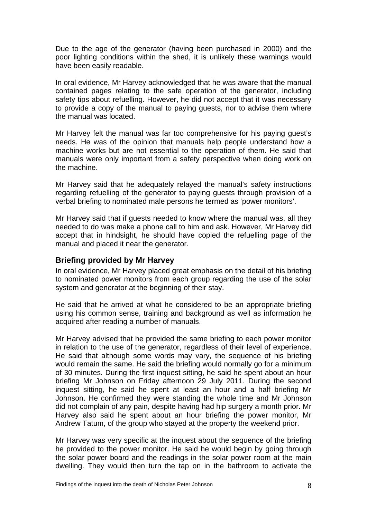Due to the age of the generator (having been purchased in 2000) and the poor lighting conditions within the shed, it is unlikely these warnings would have been easily readable.

In oral evidence, Mr Harvey acknowledged that he was aware that the manual contained pages relating to the safe operation of the generator, including safety tips about refuelling. However, he did not accept that it was necessary to provide a copy of the manual to paying guests, nor to advise them where the manual was located.

Mr Harvey felt the manual was far too comprehensive for his paying guest's needs. He was of the opinion that manuals help people understand how a machine works but are not essential to the operation of them. He said that manuals were only important from a safety perspective when doing work on the machine.

Mr Harvey said that he adequately relayed the manual's safety instructions regarding refuelling of the generator to paying guests through provision of a verbal briefing to nominated male persons he termed as 'power monitors'.

Mr Harvey said that if guests needed to know where the manual was, all they needed to do was make a phone call to him and ask. However, Mr Harvey did accept that in hindsight, he should have copied the refuelling page of the manual and placed it near the generator.

#### **Briefing provided by Mr Harvey**

In oral evidence, Mr Harvey placed great emphasis on the detail of his briefing to nominated power monitors from each group regarding the use of the solar system and generator at the beginning of their stay.

He said that he arrived at what he considered to be an appropriate briefing using his common sense, training and background as well as information he acquired after reading a number of manuals.

Mr Harvey advised that he provided the same briefing to each power monitor in relation to the use of the generator, regardless of their level of experience. He said that although some words may vary, the sequence of his briefing would remain the same. He said the briefing would normally go for a minimum of 30 minutes. During the first inquest sitting, he said he spent about an hour briefing Mr Johnson on Friday afternoon 29 July 2011. During the second inquest sitting, he said he spent at least an hour and a half briefing Mr Johnson. He confirmed they were standing the whole time and Mr Johnson did not complain of any pain, despite having had hip surgery a month prior. Mr Harvey also said he spent about an hour briefing the power monitor, Mr Andrew Tatum, of the group who stayed at the property the weekend prior.

Mr Harvey was very specific at the inquest about the sequence of the briefing he provided to the power monitor. He said he would begin by going through the solar power board and the readings in the solar power room at the main dwelling. They would then turn the tap on in the bathroom to activate the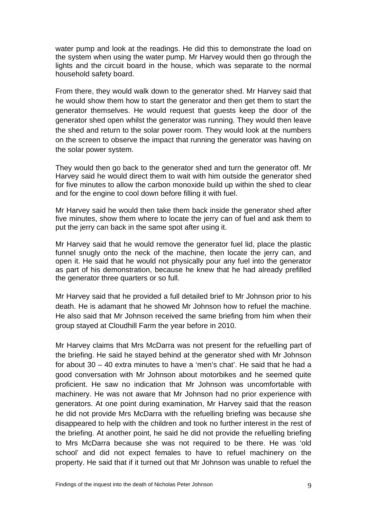water pump and look at the readings. He did this to demonstrate the load on the system when using the water pump. Mr Harvey would then go through the lights and the circuit board in the house, which was separate to the normal household safety board.

From there, they would walk down to the generator shed. Mr Harvey said that he would show them how to start the generator and then get them to start the generator themselves. He would request that guests keep the door of the generator shed open whilst the generator was running. They would then leave the shed and return to the solar power room. They would look at the numbers on the screen to observe the impact that running the generator was having on the solar power system.

They would then go back to the generator shed and turn the generator off. Mr Harvey said he would direct them to wait with him outside the generator shed for five minutes to allow the carbon monoxide build up within the shed to clear and for the engine to cool down before filling it with fuel.

Mr Harvey said he would then take them back inside the generator shed after five minutes, show them where to locate the jerry can of fuel and ask them to put the jerry can back in the same spot after using it.

Mr Harvey said that he would remove the generator fuel lid, place the plastic funnel snugly onto the neck of the machine, then locate the jerry can, and open it. He said that he would not physically pour any fuel into the generator as part of his demonstration, because he knew that he had already prefilled the generator three quarters or so full.

Mr Harvey said that he provided a full detailed brief to Mr Johnson prior to his death. He is adamant that he showed Mr Johnson how to refuel the machine. He also said that Mr Johnson received the same briefing from him when their group stayed at Cloudhill Farm the year before in 2010.

Mr Harvey claims that Mrs McDarra was not present for the refuelling part of the briefing. He said he stayed behind at the generator shed with Mr Johnson for about 30 – 40 extra minutes to have a 'men's chat'. He said that he had a good conversation with Mr Johnson about motorbikes and he seemed quite proficient. He saw no indication that Mr Johnson was uncomfortable with machinery. He was not aware that Mr Johnson had no prior experience with generators. At one point during examination, Mr Harvey said that the reason he did not provide Mrs McDarra with the refuelling briefing was because she disappeared to help with the children and took no further interest in the rest of the briefing. At another point, he said he did not provide the refuelling briefing to Mrs McDarra because she was not required to be there. He was 'old school' and did not expect females to have to refuel machinery on the property. He said that if it turned out that Mr Johnson was unable to refuel the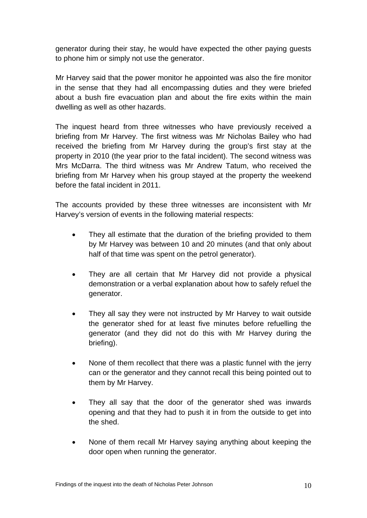generator during their stay, he would have expected the other paying guests to phone him or simply not use the generator.

Mr Harvey said that the power monitor he appointed was also the fire monitor in the sense that they had all encompassing duties and they were briefed about a bush fire evacuation plan and about the fire exits within the main dwelling as well as other hazards.

The inquest heard from three witnesses who have previously received a briefing from Mr Harvey. The first witness was Mr Nicholas Bailey who had received the briefing from Mr Harvey during the group's first stay at the property in 2010 (the year prior to the fatal incident). The second witness was Mrs McDarra. The third witness was Mr Andrew Tatum, who received the briefing from Mr Harvey when his group stayed at the property the weekend before the fatal incident in 2011.

The accounts provided by these three witnesses are inconsistent with Mr Harvey's version of events in the following material respects:

- They all estimate that the duration of the briefing provided to them by Mr Harvey was between 10 and 20 minutes (and that only about half of that time was spent on the petrol generator).
- They are all certain that Mr Harvey did not provide a physical demonstration or a verbal explanation about how to safely refuel the generator.
- They all say they were not instructed by Mr Harvey to wait outside the generator shed for at least five minutes before refuelling the generator (and they did not do this with Mr Harvey during the briefing).
- None of them recollect that there was a plastic funnel with the jerry can or the generator and they cannot recall this being pointed out to them by Mr Harvey.
- They all say that the door of the generator shed was inwards opening and that they had to push it in from the outside to get into the shed.
- None of them recall Mr Harvey saying anything about keeping the door open when running the generator.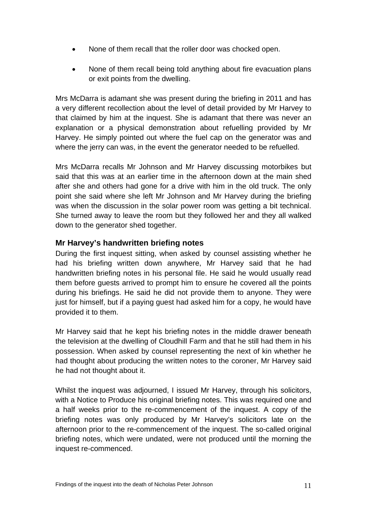- None of them recall that the roller door was chocked open.
- None of them recall being told anything about fire evacuation plans or exit points from the dwelling.

Mrs McDarra is adamant she was present during the briefing in 2011 and has a very different recollection about the level of detail provided by Mr Harvey to that claimed by him at the inquest. She is adamant that there was never an explanation or a physical demonstration about refuelling provided by Mr Harvey. He simply pointed out where the fuel cap on the generator was and where the jerry can was, in the event the generator needed to be refuelled.

Mrs McDarra recalls Mr Johnson and Mr Harvey discussing motorbikes but said that this was at an earlier time in the afternoon down at the main shed after she and others had gone for a drive with him in the old truck. The only point she said where she left Mr Johnson and Mr Harvey during the briefing was when the discussion in the solar power room was getting a bit technical. She turned away to leave the room but they followed her and they all walked down to the generator shed together.

## **Mr Harvey's handwritten briefing notes**

During the first inquest sitting, when asked by counsel assisting whether he had his briefing written down anywhere, Mr Harvey said that he had handwritten briefing notes in his personal file. He said he would usually read them before guests arrived to prompt him to ensure he covered all the points during his briefings. He said he did not provide them to anyone. They were just for himself, but if a paying guest had asked him for a copy, he would have provided it to them.

Mr Harvey said that he kept his briefing notes in the middle drawer beneath the television at the dwelling of Cloudhill Farm and that he still had them in his possession. When asked by counsel representing the next of kin whether he had thought about producing the written notes to the coroner, Mr Harvey said he had not thought about it.

Whilst the inquest was adjourned, I issued Mr Harvey, through his solicitors, with a Notice to Produce his original briefing notes. This was required one and a half weeks prior to the re-commencement of the inquest. A copy of the briefing notes was only produced by Mr Harvey's solicitors late on the afternoon prior to the re-commencement of the inquest. The so-called original briefing notes, which were undated, were not produced until the morning the inquest re-commenced.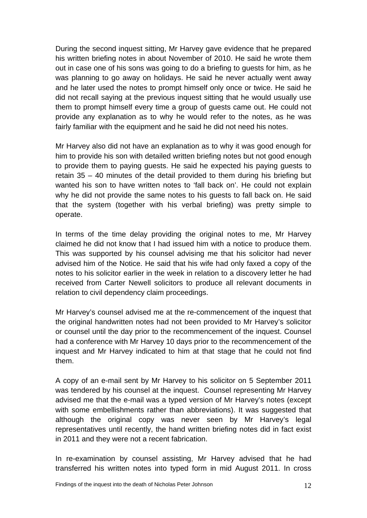During the second inquest sitting, Mr Harvey gave evidence that he prepared his written briefing notes in about November of 2010. He said he wrote them out in case one of his sons was going to do a briefing to guests for him, as he was planning to go away on holidays. He said he never actually went away and he later used the notes to prompt himself only once or twice. He said he did not recall saying at the previous inquest sitting that he would usually use them to prompt himself every time a group of guests came out. He could not provide any explanation as to why he would refer to the notes, as he was fairly familiar with the equipment and he said he did not need his notes.

Mr Harvey also did not have an explanation as to why it was good enough for him to provide his son with detailed written briefing notes but not good enough to provide them to paying guests. He said he expected his paying guests to retain 35 – 40 minutes of the detail provided to them during his briefing but wanted his son to have written notes to 'fall back on'. He could not explain why he did not provide the same notes to his guests to fall back on. He said that the system (together with his verbal briefing) was pretty simple to operate.

In terms of the time delay providing the original notes to me, Mr Harvey claimed he did not know that I had issued him with a notice to produce them. This was supported by his counsel advising me that his solicitor had never advised him of the Notice. He said that his wife had only faxed a copy of the notes to his solicitor earlier in the week in relation to a discovery letter he had received from Carter Newell solicitors to produce all relevant documents in relation to civil dependency claim proceedings.

Mr Harvey's counsel advised me at the re-commencement of the inquest that the original handwritten notes had not been provided to Mr Harvey's solicitor or counsel until the day prior to the recommencement of the inquest. Counsel had a conference with Mr Harvey 10 days prior to the recommencement of the inquest and Mr Harvey indicated to him at that stage that he could not find them.

A copy of an e-mail sent by Mr Harvey to his solicitor on 5 September 2011 was tendered by his counsel at the inquest. Counsel representing Mr Harvey advised me that the e-mail was a typed version of Mr Harvey's notes (except with some embellishments rather than abbreviations). It was suggested that although the original copy was never seen by Mr Harvey's legal representatives until recently, the hand written briefing notes did in fact exist in 2011 and they were not a recent fabrication.

In re-examination by counsel assisting, Mr Harvey advised that he had transferred his written notes into typed form in mid August 2011. In cross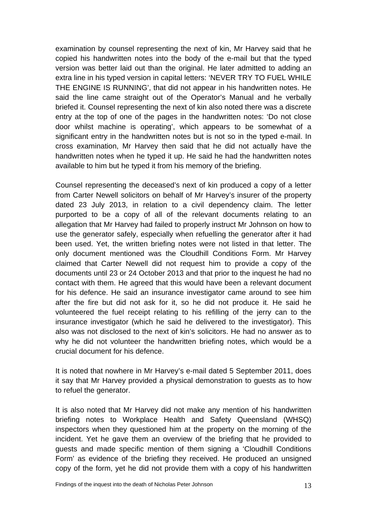examination by counsel representing the next of kin, Mr Harvey said that he copied his handwritten notes into the body of the e-mail but that the typed version was better laid out than the original. He later admitted to adding an extra line in his typed version in capital letters: 'NEVER TRY TO FUEL WHILE THE ENGINE IS RUNNING', that did not appear in his handwritten notes. He said the line came straight out of the Operator's Manual and he verbally briefed it. Counsel representing the next of kin also noted there was a discrete entry at the top of one of the pages in the handwritten notes: 'Do not close door whilst machine is operating', which appears to be somewhat of a significant entry in the handwritten notes but is not so in the typed e-mail. In cross examination, Mr Harvey then said that he did not actually have the handwritten notes when he typed it up. He said he had the handwritten notes available to him but he typed it from his memory of the briefing.

Counsel representing the deceased's next of kin produced a copy of a letter from Carter Newell solicitors on behalf of Mr Harvey's insurer of the property dated 23 July 2013, in relation to a civil dependency claim. The letter purported to be a copy of all of the relevant documents relating to an allegation that Mr Harvey had failed to properly instruct Mr Johnson on how to use the generator safely, especially when refuelling the generator after it had been used. Yet, the written briefing notes were not listed in that letter. The only document mentioned was the Cloudhill Conditions Form. Mr Harvey claimed that Carter Newell did not request him to provide a copy of the documents until 23 or 24 October 2013 and that prior to the inquest he had no contact with them. He agreed that this would have been a relevant document for his defence. He said an insurance investigator came around to see him after the fire but did not ask for it, so he did not produce it. He said he volunteered the fuel receipt relating to his refilling of the jerry can to the insurance investigator (which he said he delivered to the investigator). This also was not disclosed to the next of kin's solicitors. He had no answer as to why he did not volunteer the handwritten briefing notes, which would be a crucial document for his defence.

It is noted that nowhere in Mr Harvey's e-mail dated 5 September 2011, does it say that Mr Harvey provided a physical demonstration to guests as to how to refuel the generator.

It is also noted that Mr Harvey did not make any mention of his handwritten briefing notes to Workplace Health and Safety Queensland (WHSQ) inspectors when they questioned him at the property on the morning of the incident. Yet he gave them an overview of the briefing that he provided to guests and made specific mention of them signing a 'Cloudhill Conditions Form' as evidence of the briefing they received. He produced an unsigned copy of the form, yet he did not provide them with a copy of his handwritten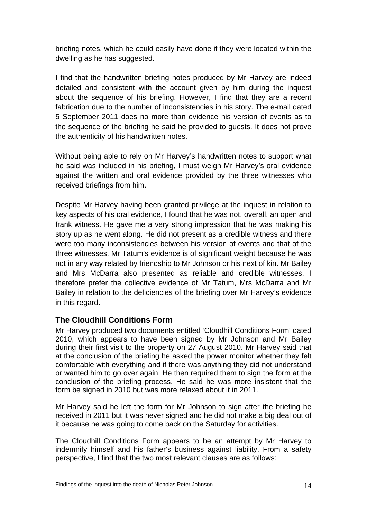briefing notes, which he could easily have done if they were located within the dwelling as he has suggested.

I find that the handwritten briefing notes produced by Mr Harvey are indeed detailed and consistent with the account given by him during the inquest about the sequence of his briefing. However, I find that they are a recent fabrication due to the number of inconsistencies in his story. The e-mail dated 5 September 2011 does no more than evidence his version of events as to the sequence of the briefing he said he provided to guests. It does not prove the authenticity of his handwritten notes.

Without being able to rely on Mr Harvey's handwritten notes to support what he said was included in his briefing, I must weigh Mr Harvey's oral evidence against the written and oral evidence provided by the three witnesses who received briefings from him.

Despite Mr Harvey having been granted privilege at the inquest in relation to key aspects of his oral evidence, I found that he was not, overall, an open and frank witness. He gave me a very strong impression that he was making his story up as he went along. He did not present as a credible witness and there were too many inconsistencies between his version of events and that of the three witnesses. Mr Tatum's evidence is of significant weight because he was not in any way related by friendship to Mr Johnson or his next of kin. Mr Bailey and Mrs McDarra also presented as reliable and credible witnesses. I therefore prefer the collective evidence of Mr Tatum, Mrs McDarra and Mr Bailey in relation to the deficiencies of the briefing over Mr Harvey's evidence in this regard.

## **The Cloudhill Conditions Form**

Mr Harvey produced two documents entitled 'Cloudhill Conditions Form' dated 2010, which appears to have been signed by Mr Johnson and Mr Bailey during their first visit to the property on 27 August 2010. Mr Harvey said that at the conclusion of the briefing he asked the power monitor whether they felt comfortable with everything and if there was anything they did not understand or wanted him to go over again. He then required them to sign the form at the conclusion of the briefing process. He said he was more insistent that the form be signed in 2010 but was more relaxed about it in 2011.

Mr Harvey said he left the form for Mr Johnson to sign after the briefing he received in 2011 but it was never signed and he did not make a big deal out of it because he was going to come back on the Saturday for activities.

The Cloudhill Conditions Form appears to be an attempt by Mr Harvey to indemnify himself and his father's business against liability. From a safety perspective, I find that the two most relevant clauses are as follows: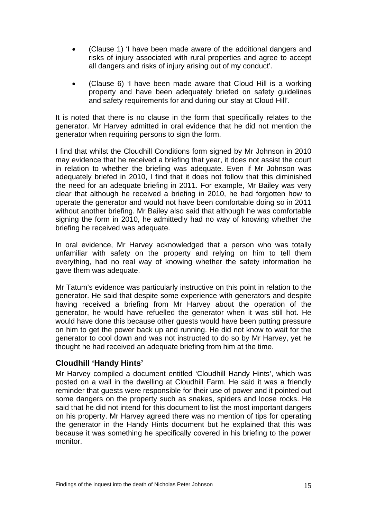- (Clause 1) 'I have been made aware of the additional dangers and risks of injury associated with rural properties and agree to accept all dangers and risks of injury arising out of my conduct'.
- (Clause 6) 'I have been made aware that Cloud Hill is a working property and have been adequately briefed on safety guidelines and safety requirements for and during our stay at Cloud Hill'.

It is noted that there is no clause in the form that specifically relates to the generator. Mr Harvey admitted in oral evidence that he did not mention the generator when requiring persons to sign the form.

I find that whilst the Cloudhill Conditions form signed by Mr Johnson in 2010 may evidence that he received a briefing that year, it does not assist the court in relation to whether the briefing was adequate. Even if Mr Johnson was adequately briefed in 2010, I find that it does not follow that this diminished the need for an adequate briefing in 2011. For example, Mr Bailey was very clear that although he received a briefing in 2010, he had forgotten how to operate the generator and would not have been comfortable doing so in 2011 without another briefing. Mr Bailey also said that although he was comfortable signing the form in 2010, he admittedly had no way of knowing whether the briefing he received was adequate.

In oral evidence, Mr Harvey acknowledged that a person who was totally unfamiliar with safety on the property and relying on him to tell them everything, had no real way of knowing whether the safety information he gave them was adequate.

Mr Tatum's evidence was particularly instructive on this point in relation to the generator. He said that despite some experience with generators and despite having received a briefing from Mr Harvey about the operation of the generator, he would have refuelled the generator when it was still hot. He would have done this because other guests would have been putting pressure on him to get the power back up and running. He did not know to wait for the generator to cool down and was not instructed to do so by Mr Harvey, yet he thought he had received an adequate briefing from him at the time.

#### **Cloudhill 'Handy Hints'**

Mr Harvey compiled a document entitled 'Cloudhill Handy Hints', which was posted on a wall in the dwelling at Cloudhill Farm. He said it was a friendly reminder that guests were responsible for their use of power and it pointed out some dangers on the property such as snakes, spiders and loose rocks. He said that he did not intend for this document to list the most important dangers on his property. Mr Harvey agreed there was no mention of tips for operating the generator in the Handy Hints document but he explained that this was because it was something he specifically covered in his briefing to the power monitor.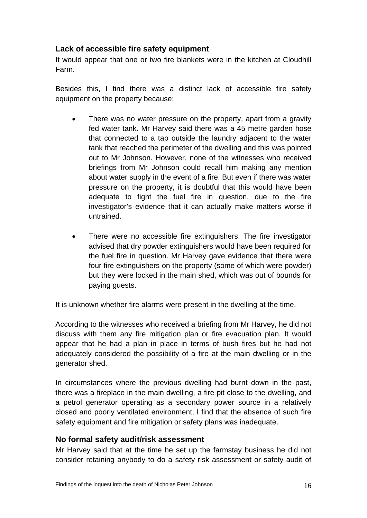## **Lack of accessible fire safety equipment**

It would appear that one or two fire blankets were in the kitchen at Cloudhill Farm.

Besides this, I find there was a distinct lack of accessible fire safety equipment on the property because:

- There was no water pressure on the property, apart from a gravity fed water tank. Mr Harvey said there was a 45 metre garden hose that connected to a tap outside the laundry adjacent to the water tank that reached the perimeter of the dwelling and this was pointed out to Mr Johnson. However, none of the witnesses who received briefings from Mr Johnson could recall him making any mention about water supply in the event of a fire. But even if there was water pressure on the property, it is doubtful that this would have been adequate to fight the fuel fire in question, due to the fire investigator's evidence that it can actually make matters worse if untrained.
- There were no accessible fire extinguishers. The fire investigator advised that dry powder extinguishers would have been required for the fuel fire in question. Mr Harvey gave evidence that there were four fire extinguishers on the property (some of which were powder) but they were locked in the main shed, which was out of bounds for paying guests.

It is unknown whether fire alarms were present in the dwelling at the time.

According to the witnesses who received a briefing from Mr Harvey, he did not discuss with them any fire mitigation plan or fire evacuation plan. It would appear that he had a plan in place in terms of bush fires but he had not adequately considered the possibility of a fire at the main dwelling or in the generator shed.

In circumstances where the previous dwelling had burnt down in the past, there was a fireplace in the main dwelling, a fire pit close to the dwelling, and a petrol generator operating as a secondary power source in a relatively closed and poorly ventilated environment, I find that the absence of such fire safety equipment and fire mitigation or safety plans was inadequate.

## **No formal safety audit/risk assessment**

Mr Harvey said that at the time he set up the farmstay business he did not consider retaining anybody to do a safety risk assessment or safety audit of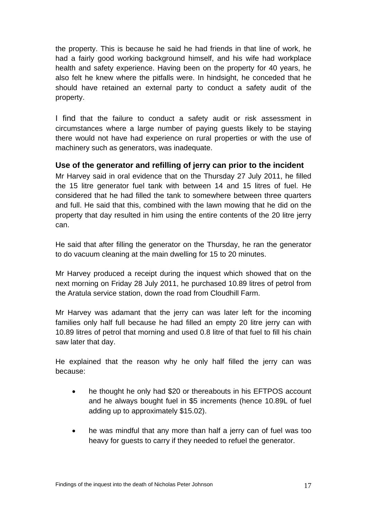the property. This is because he said he had friends in that line of work, he had a fairly good working background himself, and his wife had workplace health and safety experience. Having been on the property for 40 years, he also felt he knew where the pitfalls were. In hindsight, he conceded that he should have retained an external party to conduct a safety audit of the property.

I find that the failure to conduct a safety audit or risk assessment in circumstances where a large number of paying guests likely to be staying there would not have had experience on rural properties or with the use of machinery such as generators, was inadequate.

## **Use of the generator and refilling of jerry can prior to the incident**

Mr Harvey said in oral evidence that on the Thursday 27 July 2011, he filled the 15 litre generator fuel tank with between 14 and 15 litres of fuel. He considered that he had filled the tank to somewhere between three quarters and full. He said that this, combined with the lawn mowing that he did on the property that day resulted in him using the entire contents of the 20 litre jerry can.

He said that after filling the generator on the Thursday, he ran the generator to do vacuum cleaning at the main dwelling for 15 to 20 minutes.

Mr Harvey produced a receipt during the inquest which showed that on the next morning on Friday 28 July 2011, he purchased 10.89 litres of petrol from the Aratula service station, down the road from Cloudhill Farm.

Mr Harvey was adamant that the jerry can was later left for the incoming families only half full because he had filled an empty 20 litre jerry can with 10.89 litres of petrol that morning and used 0.8 litre of that fuel to fill his chain saw later that day.

He explained that the reason why he only half filled the jerry can was because:

- he thought he only had \$20 or thereabouts in his EFTPOS account and he always bought fuel in \$5 increments (hence 10.89L of fuel adding up to approximately \$15.02).
- he was mindful that any more than half a jerry can of fuel was too heavy for guests to carry if they needed to refuel the generator.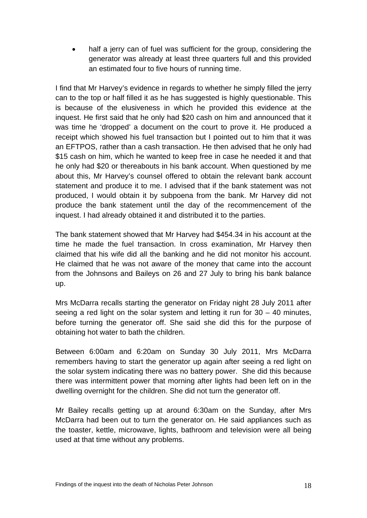half a jerry can of fuel was sufficient for the group, considering the generator was already at least three quarters full and this provided an estimated four to five hours of running time.

I find that Mr Harvey's evidence in regards to whether he simply filled the jerry can to the top or half filled it as he has suggested is highly questionable. This is because of the elusiveness in which he provided this evidence at the inquest. He first said that he only had \$20 cash on him and announced that it was time he 'dropped' a document on the court to prove it. He produced a receipt which showed his fuel transaction but I pointed out to him that it was an EFTPOS, rather than a cash transaction. He then advised that he only had \$15 cash on him, which he wanted to keep free in case he needed it and that he only had \$20 or thereabouts in his bank account. When questioned by me about this, Mr Harvey's counsel offered to obtain the relevant bank account statement and produce it to me. I advised that if the bank statement was not produced, I would obtain it by subpoena from the bank. Mr Harvey did not produce the bank statement until the day of the recommencement of the inquest. I had already obtained it and distributed it to the parties.

The bank statement showed that Mr Harvey had \$454.34 in his account at the time he made the fuel transaction. In cross examination, Mr Harvey then claimed that his wife did all the banking and he did not monitor his account. He claimed that he was not aware of the money that came into the account from the Johnsons and Baileys on 26 and 27 July to bring his bank balance up.

Mrs McDarra recalls starting the generator on Friday night 28 July 2011 after seeing a red light on the solar system and letting it run for 30 – 40 minutes, before turning the generator off. She said she did this for the purpose of obtaining hot water to bath the children.

Between 6:00am and 6:20am on Sunday 30 July 2011, Mrs McDarra remembers having to start the generator up again after seeing a red light on the solar system indicating there was no battery power. She did this because there was intermittent power that morning after lights had been left on in the dwelling overnight for the children. She did not turn the generator off.

Mr Bailey recalls getting up at around 6:30am on the Sunday, after Mrs McDarra had been out to turn the generator on. He said appliances such as the toaster, kettle, microwave, lights, bathroom and television were all being used at that time without any problems.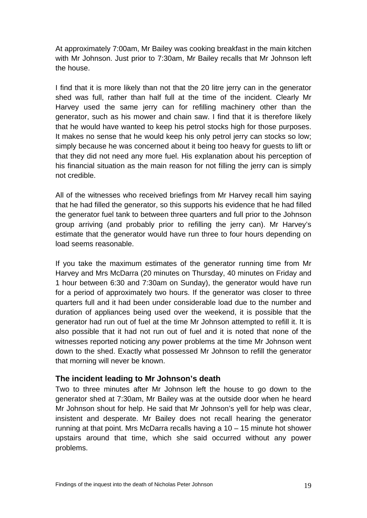At approximately 7:00am, Mr Bailey was cooking breakfast in the main kitchen with Mr Johnson. Just prior to 7:30am, Mr Bailey recalls that Mr Johnson left the house.

I find that it is more likely than not that the 20 litre jerry can in the generator shed was full, rather than half full at the time of the incident. Clearly Mr Harvey used the same jerry can for refilling machinery other than the generator, such as his mower and chain saw. I find that it is therefore likely that he would have wanted to keep his petrol stocks high for those purposes. It makes no sense that he would keep his only petrol jerry can stocks so low; simply because he was concerned about it being too heavy for guests to lift or that they did not need any more fuel. His explanation about his perception of his financial situation as the main reason for not filling the jerry can is simply not credible.

All of the witnesses who received briefings from Mr Harvey recall him saying that he had filled the generator, so this supports his evidence that he had filled the generator fuel tank to between three quarters and full prior to the Johnson group arriving (and probably prior to refilling the jerry can). Mr Harvey's estimate that the generator would have run three to four hours depending on load seems reasonable.

If you take the maximum estimates of the generator running time from Mr Harvey and Mrs McDarra (20 minutes on Thursday, 40 minutes on Friday and 1 hour between 6:30 and 7:30am on Sunday), the generator would have run for a period of approximately two hours. If the generator was closer to three quarters full and it had been under considerable load due to the number and duration of appliances being used over the weekend, it is possible that the generator had run out of fuel at the time Mr Johnson attempted to refill it. It is also possible that it had not run out of fuel and it is noted that none of the witnesses reported noticing any power problems at the time Mr Johnson went down to the shed. Exactly what possessed Mr Johnson to refill the generator that morning will never be known.

#### **The incident leading to Mr Johnson's death**

Two to three minutes after Mr Johnson left the house to go down to the generator shed at 7:30am, Mr Bailey was at the outside door when he heard Mr Johnson shout for help. He said that Mr Johnson's yell for help was clear, insistent and desperate. Mr Bailey does not recall hearing the generator running at that point. Mrs McDarra recalls having a 10 – 15 minute hot shower upstairs around that time, which she said occurred without any power problems.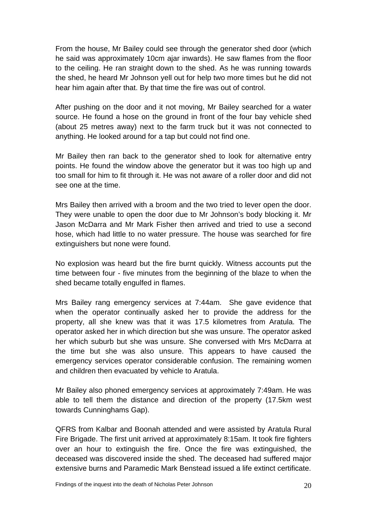From the house, Mr Bailey could see through the generator shed door (which he said was approximately 10cm ajar inwards). He saw flames from the floor to the ceiling. He ran straight down to the shed. As he was running towards the shed, he heard Mr Johnson yell out for help two more times but he did not hear him again after that. By that time the fire was out of control.

After pushing on the door and it not moving, Mr Bailey searched for a water source. He found a hose on the ground in front of the four bay vehicle shed (about 25 metres away) next to the farm truck but it was not connected to anything. He looked around for a tap but could not find one.

Mr Bailey then ran back to the generator shed to look for alternative entry points. He found the window above the generator but it was too high up and too small for him to fit through it. He was not aware of a roller door and did not see one at the time.

Mrs Bailey then arrived with a broom and the two tried to lever open the door. They were unable to open the door due to Mr Johnson's body blocking it. Mr Jason McDarra and Mr Mark Fisher then arrived and tried to use a second hose, which had little to no water pressure. The house was searched for fire extinguishers but none were found.

No explosion was heard but the fire burnt quickly. Witness accounts put the time between four - five minutes from the beginning of the blaze to when the shed became totally engulfed in flames.

Mrs Bailey rang emergency services at 7:44am. She gave evidence that when the operator continually asked her to provide the address for the property, all she knew was that it was 17.5 kilometres from Aratula. The operator asked her in which direction but she was unsure. The operator asked her which suburb but she was unsure. She conversed with Mrs McDarra at the time but she was also unsure. This appears to have caused the emergency services operator considerable confusion. The remaining women and children then evacuated by vehicle to Aratula.

Mr Bailey also phoned emergency services at approximately 7:49am. He was able to tell them the distance and direction of the property (17.5km west towards Cunninghams Gap).

QFRS from Kalbar and Boonah attended and were assisted by Aratula Rural Fire Brigade. The first unit arrived at approximately 8:15am. It took fire fighters over an hour to extinguish the fire. Once the fire was extinguished, the deceased was discovered inside the shed. The deceased had suffered major extensive burns and Paramedic Mark Benstead issued a life extinct certificate.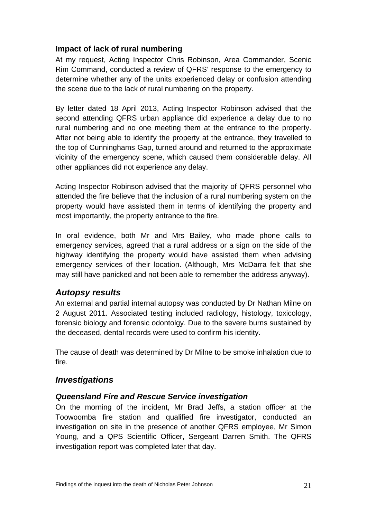## **Impact of lack of rural numbering**

At my request, Acting Inspector Chris Robinson, Area Commander, Scenic Rim Command, conducted a review of QFRS' response to the emergency to determine whether any of the units experienced delay or confusion attending the scene due to the lack of rural numbering on the property.

By letter dated 18 April 2013, Acting Inspector Robinson advised that the second attending QFRS urban appliance did experience a delay due to no rural numbering and no one meeting them at the entrance to the property. After not being able to identify the property at the entrance, they travelled to the top of Cunninghams Gap, turned around and returned to the approximate vicinity of the emergency scene, which caused them considerable delay. All other appliances did not experience any delay.

Acting Inspector Robinson advised that the majority of QFRS personnel who attended the fire believe that the inclusion of a rural numbering system on the property would have assisted them in terms of identifying the property and most importantly, the property entrance to the fire.

In oral evidence, both Mr and Mrs Bailey, who made phone calls to emergency services, agreed that a rural address or a sign on the side of the highway identifying the property would have assisted them when advising emergency services of their location. (Although, Mrs McDarra felt that she may still have panicked and not been able to remember the address anyway).

## *Autopsy results*

An external and partial internal autopsy was conducted by Dr Nathan Milne on 2 August 2011. Associated testing included radiology, histology, toxicology, forensic biology and forensic odontolgy. Due to the severe burns sustained by the deceased, dental records were used to confirm his identity.

The cause of death was determined by Dr Milne to be smoke inhalation due to fire.

## *Investigations*

#### *Queensland Fire and Rescue Service investigation*

On the morning of the incident, Mr Brad Jeffs, a station officer at the Toowoomba fire station and qualified fire investigator, conducted an investigation on site in the presence of another QFRS employee, Mr Simon Young, and a QPS Scientific Officer, Sergeant Darren Smith. The QFRS investigation report was completed later that day.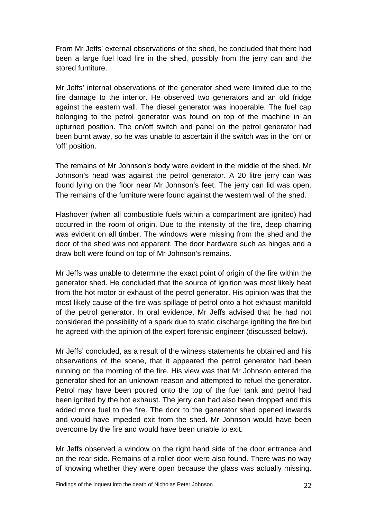From Mr Jeffs' external observations of the shed, he concluded that there had been a large fuel load fire in the shed, possibly from the jerry can and the stored furniture.

Mr Jeffs' internal observations of the generator shed were limited due to the fire damage to the interior. He observed two generators and an old fridge against the eastern wall. The diesel generator was inoperable. The fuel cap belonging to the petrol generator was found on top of the machine in an upturned position. The on/off switch and panel on the petrol generator had been burnt away, so he was unable to ascertain if the switch was in the 'on' or 'off' position.

The remains of Mr Johnson's body were evident in the middle of the shed. Mr Johnson's head was against the petrol generator. A 20 litre jerry can was found lying on the floor near Mr Johnson's feet. The jerry can lid was open. The remains of the furniture were found against the western wall of the shed.

Flashover (when all combustible fuels within a compartment are ignited) had occurred in the room of origin. Due to the intensity of the fire, deep charring was evident on all timber. The windows were missing from the shed and the door of the shed was not apparent. The door hardware such as hinges and a draw bolt were found on top of Mr Johnson's remains.

Mr Jeffs was unable to determine the exact point of origin of the fire within the generator shed. He concluded that the source of ignition was most likely heat from the hot motor or exhaust of the petrol generator. His opinion was that the most likely cause of the fire was spillage of petrol onto a hot exhaust manifold of the petrol generator. In oral evidence, Mr Jeffs advised that he had not considered the possibility of a spark due to static discharge igniting the fire but he agreed with the opinion of the expert forensic engineer (discussed below).

Mr Jeffs' concluded, as a result of the witness statements he obtained and his observations of the scene, that it appeared the petrol generator had been running on the morning of the fire. His view was that Mr Johnson entered the generator shed for an unknown reason and attempted to refuel the generator. Petrol may have been poured onto the top of the fuel tank and petrol had been ignited by the hot exhaust. The jerry can had also been dropped and this added more fuel to the fire. The door to the generator shed opened inwards and would have impeded exit from the shed. Mr Johnson would have been overcome by the fire and would have been unable to exit.

Mr Jeffs observed a window on the right hand side of the door entrance and on the rear side. Remains of a roller door were also found. There was no way of knowing whether they were open because the glass was actually missing.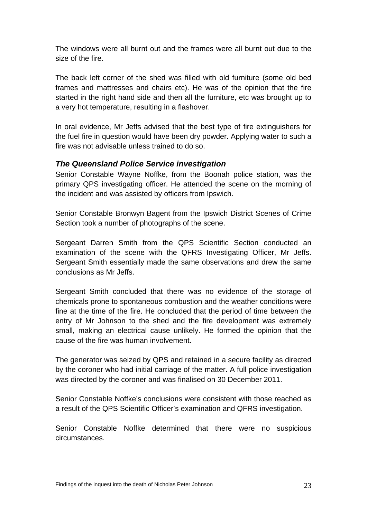The windows were all burnt out and the frames were all burnt out due to the size of the fire.

The back left corner of the shed was filled with old furniture (some old bed frames and mattresses and chairs etc). He was of the opinion that the fire started in the right hand side and then all the furniture, etc was brought up to a very hot temperature, resulting in a flashover.

In oral evidence, Mr Jeffs advised that the best type of fire extinguishers for the fuel fire in question would have been dry powder. Applying water to such a fire was not advisable unless trained to do so.

#### *The Queensland Police Service investigation*

Senior Constable Wayne Noffke, from the Boonah police station, was the primary QPS investigating officer. He attended the scene on the morning of the incident and was assisted by officers from Ipswich.

Senior Constable Bronwyn Bagent from the Ipswich District Scenes of Crime Section took a number of photographs of the scene.

Sergeant Darren Smith from the QPS Scientific Section conducted an examination of the scene with the QFRS Investigating Officer, Mr Jeffs. Sergeant Smith essentially made the same observations and drew the same conclusions as Mr Jeffs.

Sergeant Smith concluded that there was no evidence of the storage of chemicals prone to spontaneous combustion and the weather conditions were fine at the time of the fire. He concluded that the period of time between the entry of Mr Johnson to the shed and the fire development was extremely small, making an electrical cause unlikely. He formed the opinion that the cause of the fire was human involvement.

The generator was seized by QPS and retained in a secure facility as directed by the coroner who had initial carriage of the matter. A full police investigation was directed by the coroner and was finalised on 30 December 2011.

Senior Constable Noffke's conclusions were consistent with those reached as a result of the QPS Scientific Officer's examination and QFRS investigation.

Senior Constable Noffke determined that there were no suspicious circumstances.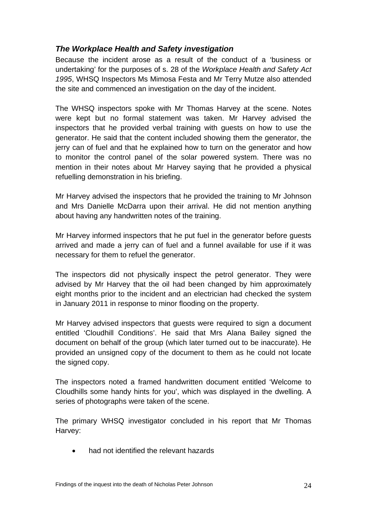## *The Workplace Health and Safety investigation*

Because the incident arose as a result of the conduct of a 'business or undertaking' for the purposes of s. 28 of the *Workplace Health and Safety Act 1995*, WHSQ Inspectors Ms Mimosa Festa and Mr Terry Mutze also attended the site and commenced an investigation on the day of the incident.

The WHSQ inspectors spoke with Mr Thomas Harvey at the scene. Notes were kept but no formal statement was taken. Mr Harvey advised the inspectors that he provided verbal training with guests on how to use the generator. He said that the content included showing them the generator, the jerry can of fuel and that he explained how to turn on the generator and how to monitor the control panel of the solar powered system. There was no mention in their notes about Mr Harvey saying that he provided a physical refuelling demonstration in his briefing.

Mr Harvey advised the inspectors that he provided the training to Mr Johnson and Mrs Danielle McDarra upon their arrival. He did not mention anything about having any handwritten notes of the training.

Mr Harvey informed inspectors that he put fuel in the generator before guests arrived and made a jerry can of fuel and a funnel available for use if it was necessary for them to refuel the generator.

The inspectors did not physically inspect the petrol generator. They were advised by Mr Harvey that the oil had been changed by him approximately eight months prior to the incident and an electrician had checked the system in January 2011 in response to minor flooding on the property.

Mr Harvey advised inspectors that guests were required to sign a document entitled 'Cloudhill Conditions'. He said that Mrs Alana Bailey signed the document on behalf of the group (which later turned out to be inaccurate). He provided an unsigned copy of the document to them as he could not locate the signed copy.

The inspectors noted a framed handwritten document entitled 'Welcome to Cloudhills some handy hints for you', which was displayed in the dwelling. A series of photographs were taken of the scene.

The primary WHSQ investigator concluded in his report that Mr Thomas Harvey:

had not identified the relevant hazards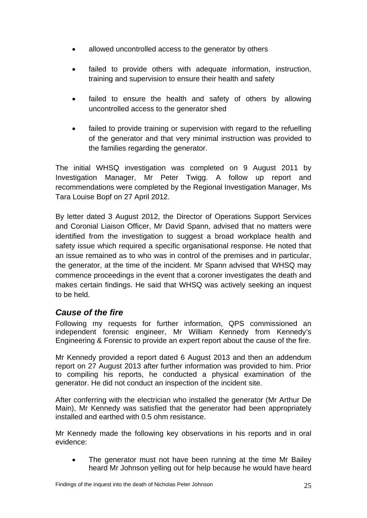- allowed uncontrolled access to the generator by others
- failed to provide others with adequate information, instruction, training and supervision to ensure their health and safety
- failed to ensure the health and safety of others by allowing uncontrolled access to the generator shed
- failed to provide training or supervision with regard to the refuelling of the generator and that very minimal instruction was provided to the families regarding the generator.

The initial WHSQ investigation was completed on 9 August 2011 by Investigation Manager, Mr Peter Twigg. A follow up report and recommendations were completed by the Regional Investigation Manager, Ms Tara Louise Bopf on 27 April 2012.

By letter dated 3 August 2012, the Director of Operations Support Services and Coronial Liaison Officer, Mr David Spann, advised that no matters were identified from the investigation to suggest a broad workplace health and safety issue which required a specific organisational response. He noted that an issue remained as to who was in control of the premises and in particular, the generator, at the time of the incident. Mr Spann advised that WHSQ may commence proceedings in the event that a coroner investigates the death and makes certain findings. He said that WHSQ was actively seeking an inquest to be held.

# *Cause of the fire*

Following my requests for further information, QPS commissioned an independent forensic engineer, Mr William Kennedy from Kennedy's Engineering & Forensic to provide an expert report about the cause of the fire.

Mr Kennedy provided a report dated 6 August 2013 and then an addendum report on 27 August 2013 after further information was provided to him. Prior to compiling his reports, he conducted a physical examination of the generator. He did not conduct an inspection of the incident site.

After conferring with the electrician who installed the generator (Mr Arthur De Main), Mr Kennedy was satisfied that the generator had been appropriately installed and earthed with 0.5 ohm resistance.

Mr Kennedy made the following key observations in his reports and in oral evidence:

 The generator must not have been running at the time Mr Bailey heard Mr Johnson yelling out for help because he would have heard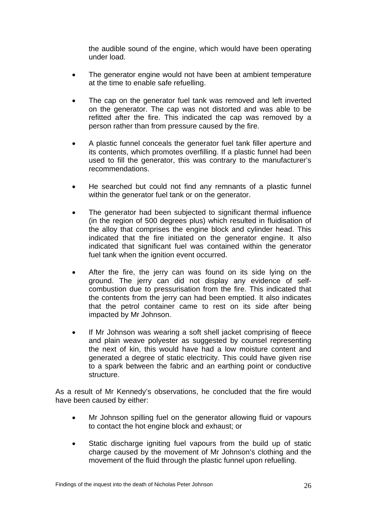the audible sound of the engine, which would have been operating under load.

- The generator engine would not have been at ambient temperature at the time to enable safe refuelling.
- The cap on the generator fuel tank was removed and left inverted on the generator. The cap was not distorted and was able to be refitted after the fire. This indicated the cap was removed by a person rather than from pressure caused by the fire.
- A plastic funnel conceals the generator fuel tank filler aperture and its contents, which promotes overfilling. If a plastic funnel had been used to fill the generator, this was contrary to the manufacturer's recommendations.
- He searched but could not find any remnants of a plastic funnel within the generator fuel tank or on the generator.
- The generator had been subjected to significant thermal influence (in the region of 500 degrees plus) which resulted in fluidisation of the alloy that comprises the engine block and cylinder head. This indicated that the fire initiated on the generator engine. It also indicated that significant fuel was contained within the generator fuel tank when the ignition event occurred.
- After the fire, the jerry can was found on its side lying on the ground. The jerry can did not display any evidence of selfcombustion due to pressurisation from the fire. This indicated that the contents from the jerry can had been emptied. It also indicates that the petrol container came to rest on its side after being impacted by Mr Johnson.
- If Mr Johnson was wearing a soft shell jacket comprising of fleece and plain weave polyester as suggested by counsel representing the next of kin, this would have had a low moisture content and generated a degree of static electricity. This could have given rise to a spark between the fabric and an earthing point or conductive structure.

As a result of Mr Kennedy's observations, he concluded that the fire would have been caused by either:

- Mr Johnson spilling fuel on the generator allowing fluid or vapours to contact the hot engine block and exhaust; or
- Static discharge igniting fuel vapours from the build up of static charge caused by the movement of Mr Johnson's clothing and the movement of the fluid through the plastic funnel upon refuelling.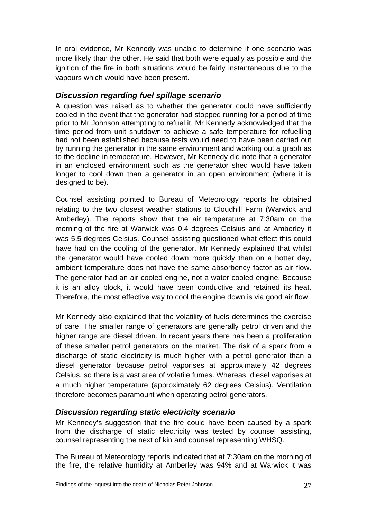In oral evidence, Mr Kennedy was unable to determine if one scenario was more likely than the other. He said that both were equally as possible and the ignition of the fire in both situations would be fairly instantaneous due to the vapours which would have been present.

## *Discussion regarding fuel spillage scenario*

A question was raised as to whether the generator could have sufficiently cooled in the event that the generator had stopped running for a period of time prior to Mr Johnson attempting to refuel it. Mr Kennedy acknowledged that the time period from unit shutdown to achieve a safe temperature for refuelling had not been established because tests would need to have been carried out by running the generator in the same environment and working out a graph as to the decline in temperature. However, Mr Kennedy did note that a generator in an enclosed environment such as the generator shed would have taken longer to cool down than a generator in an open environment (where it is designed to be).

Counsel assisting pointed to Bureau of Meteorology reports he obtained relating to the two closest weather stations to Cloudhill Farm (Warwick and Amberley). The reports show that the air temperature at 7:30am on the morning of the fire at Warwick was 0.4 degrees Celsius and at Amberley it was 5.5 degrees Celsius. Counsel assisting questioned what effect this could have had on the cooling of the generator. Mr Kennedy explained that whilst the generator would have cooled down more quickly than on a hotter day, ambient temperature does not have the same absorbency factor as air flow. The generator had an air cooled engine, not a water cooled engine. Because it is an alloy block, it would have been conductive and retained its heat. Therefore, the most effective way to cool the engine down is via good air flow.

Mr Kennedy also explained that the volatility of fuels determines the exercise of care. The smaller range of generators are generally petrol driven and the higher range are diesel driven. In recent years there has been a proliferation of these smaller petrol generators on the market. The risk of a spark from a discharge of static electricity is much higher with a petrol generator than a diesel generator because petrol vaporises at approximately 42 degrees Celsius, so there is a vast area of volatile fumes. Whereas, diesel vaporises at a much higher temperature (approximately 62 degrees Celsius). Ventilation therefore becomes paramount when operating petrol generators.

#### *Discussion regarding static electricity scenario*

Mr Kennedy's suggestion that the fire could have been caused by a spark from the discharge of static electricity was tested by counsel assisting, counsel representing the next of kin and counsel representing WHSQ.

The Bureau of Meteorology reports indicated that at 7:30am on the morning of the fire, the relative humidity at Amberley was 94% and at Warwick it was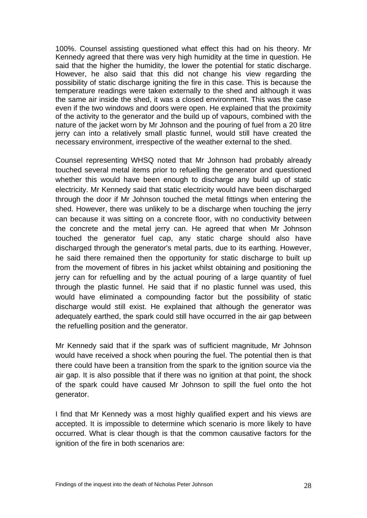100%. Counsel assisting questioned what effect this had on his theory. Mr Kennedy agreed that there was very high humidity at the time in question. He said that the higher the humidity, the lower the potential for static discharge. However, he also said that this did not change his view regarding the possibility of static discharge igniting the fire in this case. This is because the temperature readings were taken externally to the shed and although it was the same air inside the shed, it was a closed environment. This was the case even if the two windows and doors were open. He explained that the proximity of the activity to the generator and the build up of vapours, combined with the nature of the jacket worn by Mr Johnson and the pouring of fuel from a 20 litre jerry can into a relatively small plastic funnel, would still have created the necessary environment, irrespective of the weather external to the shed.

Counsel representing WHSQ noted that Mr Johnson had probably already touched several metal items prior to refuelling the generator and questioned whether this would have been enough to discharge any build up of static electricity. Mr Kennedy said that static electricity would have been discharged through the door if Mr Johnson touched the metal fittings when entering the shed. However, there was unlikely to be a discharge when touching the jerry can because it was sitting on a concrete floor, with no conductivity between the concrete and the metal jerry can. He agreed that when Mr Johnson touched the generator fuel cap, any static charge should also have discharged through the generator's metal parts, due to its earthing. However, he said there remained then the opportunity for static discharge to built up from the movement of fibres in his jacket whilst obtaining and positioning the jerry can for refuelling and by the actual pouring of a large quantity of fuel through the plastic funnel. He said that if no plastic funnel was used, this would have eliminated a compounding factor but the possibility of static discharge would still exist. He explained that although the generator was adequately earthed, the spark could still have occurred in the air gap between the refuelling position and the generator.

Mr Kennedy said that if the spark was of sufficient magnitude, Mr Johnson would have received a shock when pouring the fuel. The potential then is that there could have been a transition from the spark to the ignition source via the air gap. It is also possible that if there was no ignition at that point, the shock of the spark could have caused Mr Johnson to spill the fuel onto the hot generator.

I find that Mr Kennedy was a most highly qualified expert and his views are accepted. It is impossible to determine which scenario is more likely to have occurred. What is clear though is that the common causative factors for the ignition of the fire in both scenarios are: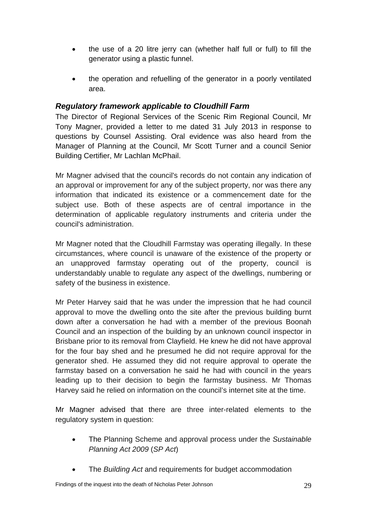- the use of a 20 litre jerry can (whether half full or full) to fill the generator using a plastic funnel.
- the operation and refuelling of the generator in a poorly ventilated area.

#### *Regulatory framework applicable to Cloudhill Farm*

The Director of Regional Services of the Scenic Rim Regional Council, Mr Tony Magner, provided a letter to me dated 31 July 2013 in response to questions by Counsel Assisting. Oral evidence was also heard from the Manager of Planning at the Council, Mr Scott Turner and a council Senior Building Certifier, Mr Lachlan McPhail.

Mr Magner advised that the council's records do not contain any indication of an approval or improvement for any of the subject property, nor was there any information that indicated its existence or a commencement date for the subject use. Both of these aspects are of central importance in the determination of applicable regulatory instruments and criteria under the council's administration.

Mr Magner noted that the Cloudhill Farmstay was operating illegally. In these circumstances, where council is unaware of the existence of the property or an unapproved farmstay operating out of the property, council is understandably unable to regulate any aspect of the dwellings, numbering or safety of the business in existence.

Mr Peter Harvey said that he was under the impression that he had council approval to move the dwelling onto the site after the previous building burnt down after a conversation he had with a member of the previous Boonah Council and an inspection of the building by an unknown council inspector in Brisbane prior to its removal from Clayfield. He knew he did not have approval for the four bay shed and he presumed he did not require approval for the generator shed. He assumed they did not require approval to operate the farmstay based on a conversation he said he had with council in the years leading up to their decision to begin the farmstay business. Mr Thomas Harvey said he relied on information on the council's internet site at the time.

Mr Magner advised that there are three inter-related elements to the regulatory system in question:

- The Planning Scheme and approval process under the *Sustainable Planning Act 2009* (*SP Act*)
- The *Building Act* and requirements for budget accommodation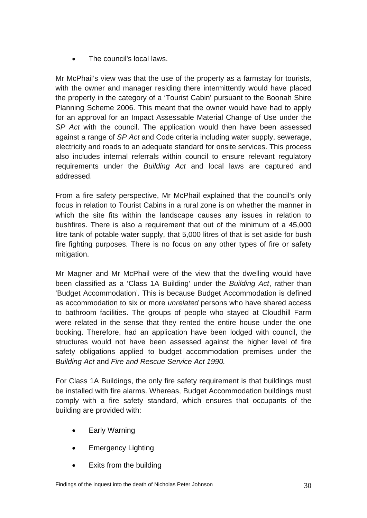The council's local laws.

Mr McPhail's view was that the use of the property as a farmstay for tourists, with the owner and manager residing there intermittently would have placed the property in the category of a 'Tourist Cabin' pursuant to the Boonah Shire Planning Scheme 2006. This meant that the owner would have had to apply for an approval for an Impact Assessable Material Change of Use under the *SP Act* with the council. The application would then have been assessed against a range of *SP Act* and Code criteria including water supply, sewerage, electricity and roads to an adequate standard for onsite services. This process also includes internal referrals within council to ensure relevant regulatory requirements under the *Building Act* and local laws are captured and addressed.

From a fire safety perspective, Mr McPhail explained that the council's only focus in relation to Tourist Cabins in a rural zone is on whether the manner in which the site fits within the landscape causes any issues in relation to bushfires. There is also a requirement that out of the minimum of a 45,000 litre tank of potable water supply, that 5,000 litres of that is set aside for bush fire fighting purposes. There is no focus on any other types of fire or safety mitigation.

Mr Magner and Mr McPhail were of the view that the dwelling would have been classified as a 'Class 1A Building' under the *Building Act*, rather than 'Budget Accommodation'. This is because Budget Accommodation is defined as accommodation to six or more *unrelated* persons who have shared access to bathroom facilities. The groups of people who stayed at Cloudhill Farm were related in the sense that they rented the entire house under the one booking. Therefore, had an application have been lodged with council, the structures would not have been assessed against the higher level of fire safety obligations applied to budget accommodation premises under the *Building Act* and *Fire and Rescue Service Act 1990.*

For Class 1A Buildings, the only fire safety requirement is that buildings must be installed with fire alarms. Whereas, Budget Accommodation buildings must comply with a fire safety standard, which ensures that occupants of the building are provided with:

- Early Warning
- Emergency Lighting
- Exits from the building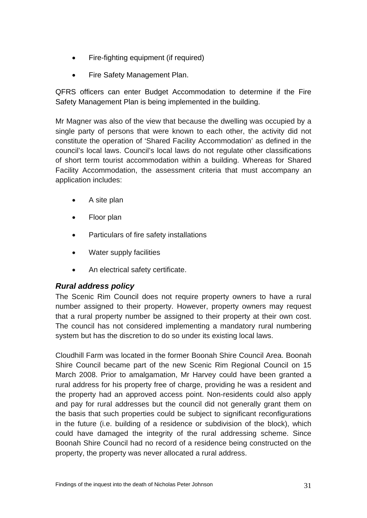- Fire-fighting equipment (if required)
- Fire Safety Management Plan.

QFRS officers can enter Budget Accommodation to determine if the Fire Safety Management Plan is being implemented in the building.

Mr Magner was also of the view that because the dwelling was occupied by a single party of persons that were known to each other, the activity did not constitute the operation of 'Shared Facility Accommodation' as defined in the council's local laws. Council's local laws do not regulate other classifications of short term tourist accommodation within a building. Whereas for Shared Facility Accommodation, the assessment criteria that must accompany an application includes:

- A site plan
- Floor plan
- Particulars of fire safety installations
- Water supply facilities
- An electrical safety certificate.

## *Rural address policy*

The Scenic Rim Council does not require property owners to have a rural number assigned to their property. However, property owners may request that a rural property number be assigned to their property at their own cost. The council has not considered implementing a mandatory rural numbering system but has the discretion to do so under its existing local laws.

Cloudhill Farm was located in the former Boonah Shire Council Area. Boonah Shire Council became part of the new Scenic Rim Regional Council on 15 March 2008. Prior to amalgamation, Mr Harvey could have been granted a rural address for his property free of charge, providing he was a resident and the property had an approved access point. Non-residents could also apply and pay for rural addresses but the council did not generally grant them on the basis that such properties could be subject to significant reconfigurations in the future (i.e. building of a residence or subdivision of the block), which could have damaged the integrity of the rural addressing scheme. Since Boonah Shire Council had no record of a residence being constructed on the property, the property was never allocated a rural address.